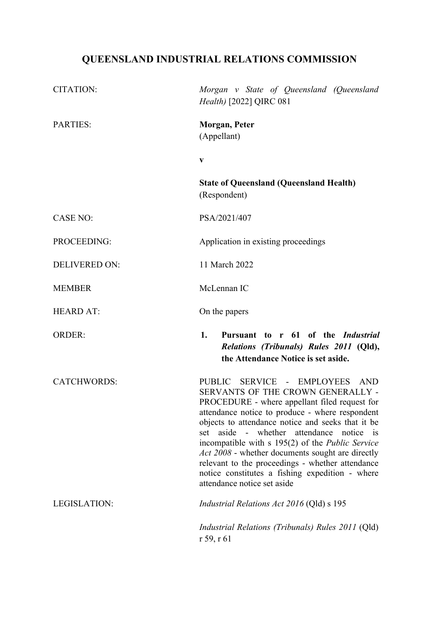# **QUEENSLAND INDUSTRIAL RELATIONS COMMISSION**

| <b>CITATION:</b>     | Morgan v State of Queensland (Queensland<br>Health) [2022] QIRC 081                                                                                                                                                                                                                                                                                                                                                                                                                                                                                                            |
|----------------------|--------------------------------------------------------------------------------------------------------------------------------------------------------------------------------------------------------------------------------------------------------------------------------------------------------------------------------------------------------------------------------------------------------------------------------------------------------------------------------------------------------------------------------------------------------------------------------|
| <b>PARTIES:</b>      | Morgan, Peter<br>(Appellant)                                                                                                                                                                                                                                                                                                                                                                                                                                                                                                                                                   |
|                      | $\mathbf{V}$                                                                                                                                                                                                                                                                                                                                                                                                                                                                                                                                                                   |
|                      | <b>State of Queensland (Queensland Health)</b><br>(Respondent)                                                                                                                                                                                                                                                                                                                                                                                                                                                                                                                 |
| <b>CASE NO:</b>      | PSA/2021/407                                                                                                                                                                                                                                                                                                                                                                                                                                                                                                                                                                   |
| PROCEEDING:          | Application in existing proceedings                                                                                                                                                                                                                                                                                                                                                                                                                                                                                                                                            |
| <b>DELIVERED ON:</b> | 11 March 2022                                                                                                                                                                                                                                                                                                                                                                                                                                                                                                                                                                  |
| <b>MEMBER</b>        | McLennan IC                                                                                                                                                                                                                                                                                                                                                                                                                                                                                                                                                                    |
| <b>HEARD AT:</b>     | On the papers                                                                                                                                                                                                                                                                                                                                                                                                                                                                                                                                                                  |
| <b>ORDER:</b>        | Pursuant to r 61 of the Industrial<br>1.<br>Relations (Tribunals) Rules 2011 (Qld),<br>the Attendance Notice is set aside.                                                                                                                                                                                                                                                                                                                                                                                                                                                     |
| <b>CATCHWORDS:</b>   | SERVICE - EMPLOYEES<br><b>PUBLIC</b><br><b>AND</b><br>SERVANTS OF THE CROWN GENERALLY -<br>PROCEDURE - where appellant filed request for<br>attendance notice to produce - where respondent<br>objects to attendance notice and seeks that it be<br>$aside -$<br>whether<br>attendance<br>notice<br>set<br>$\overline{1}$<br>incompatible with s 195(2) of the <i>Public Service</i><br>Act 2008 - whether documents sought are directly<br>relevant to the proceedings - whether attendance<br>notice constitutes a fishing expedition - where<br>attendance notice set aside |
| LEGISLATION:         | <i>Industrial Relations Act 2016 (Qld) s 195</i>                                                                                                                                                                                                                                                                                                                                                                                                                                                                                                                               |
|                      | <i>Industrial Relations (Tribunals) Rules 2011</i> (Qld)<br>r 59, r 61                                                                                                                                                                                                                                                                                                                                                                                                                                                                                                         |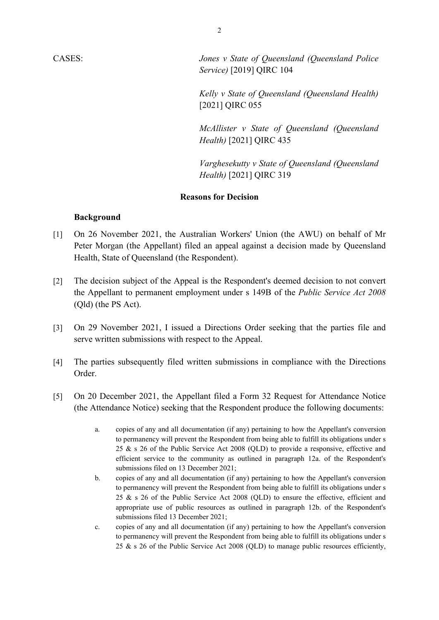CASES: *Jones v State of Queensland (Queensland Police Service)* [2019] QIRC 104

> *Kelly v State of Queensland (Queensland Health)*  [2021] QIRC 055

> *McAllister v State of Queensland (Queensland Health)* [2021] QIRC 435

> *Varghesekutty v State of Queensland (Queensland Health)* [2021] QIRC 319

#### **Reasons for Decision**

#### **Background**

- [1] On 26 November 2021, the Australian Workers' Union (the AWU) on behalf of Mr Peter Morgan (the Appellant) filed an appeal against a decision made by Queensland Health, State of Queensland (the Respondent).
- [2] The decision subject of the Appeal is the Respondent's deemed decision to not convert the Appellant to permanent employment under s 149B of the *Public Service Act 2008* (Qld) (the PS Act).
- [3] On 29 November 2021, I issued a Directions Order seeking that the parties file and serve written submissions with respect to the Appeal.
- [4] The parties subsequently filed written submissions in compliance with the Directions Order.
- [5] On 20 December 2021, the Appellant filed a Form 32 Request for Attendance Notice (the Attendance Notice) seeking that the Respondent produce the following documents:
	- a. copies of any and all documentation (if any) pertaining to how the Appellant's conversion to permanency will prevent the Respondent from being able to fulfill its obligations under s 25 & s 26 of the Public Service Act 2008 (QLD) to provide a responsive, effective and efficient service to the community as outlined in paragraph 12a. of the Respondent's submissions filed on 13 December 2021;
	- b. copies of any and all documentation (if any) pertaining to how the Appellant's conversion to permanency will prevent the Respondent from being able to fulfill its obligations under s 25  $\&$  s 26 of the Public Service Act 2008 (QLD) to ensure the effective, efficient and appropriate use of public resources as outlined in paragraph 12b. of the Respondent's submissions filed 13 December 2021;
	- c. copies of any and all documentation (if any) pertaining to how the Appellant's conversion to permanency will prevent the Respondent from being able to fulfill its obligations under s 25 & s 26 of the Public Service Act 2008 (QLD) to manage public resources efficiently,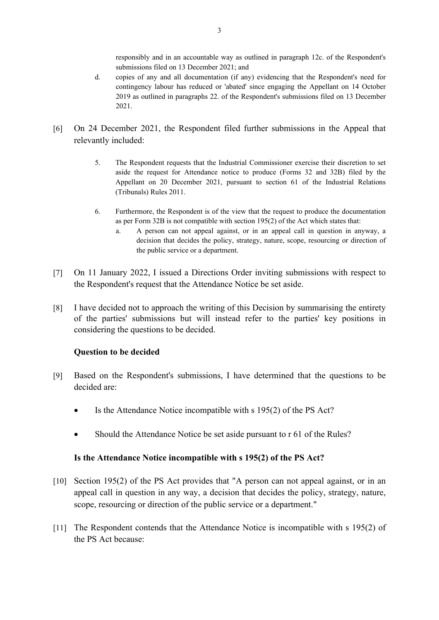responsibly and in an accountable way as outlined in paragraph 12c. of the Respondent's submissions filed on 13 December 2021; and

- d. copies of any and all documentation (if any) evidencing that the Respondent's need for contingency labour has reduced or 'abated' since engaging the Appellant on 14 October 2019 as outlined in paragraphs 22. of the Respondent's submissions filed on 13 December 2021.
- [6] On 24 December 2021, the Respondent filed further submissions in the Appeal that relevantly included:
	- 5. The Respondent requests that the Industrial Commissioner exercise their discretion to set aside the request for Attendance notice to produce (Forms 32 and 32B) filed by the Appellant on 20 December 2021, pursuant to section 61 of the Industrial Relations (Tribunals) Rules 2011.
	- 6. Furthermore, the Respondent is of the view that the request to produce the documentation as per Form 32B is not compatible with section 195(2) of the Act which states that:
		- a. A person can not appeal against, or in an appeal call in question in anyway, a decision that decides the policy, strategy, nature, scope, resourcing or direction of the public service or a department.
- [7] On 11 January 2022, I issued a Directions Order inviting submissions with respect to the Respondent's request that the Attendance Notice be set aside.
- [8] I have decided not to approach the writing of this Decision by summarising the entirety of the parties' submissions but will instead refer to the parties' key positions in considering the questions to be decided.

# **Question to be decided**

- [9] Based on the Respondent's submissions, I have determined that the questions to be decided are:
	- Is the Attendance Notice incompatible with s 195(2) of the PS Act?
	- Should the Attendance Notice be set aside pursuant to r 61 of the Rules?

## **Is the Attendance Notice incompatible with s 195(2) of the PS Act?**

- [10] Section 195(2) of the PS Act provides that "A person can not appeal against, or in an appeal call in question in any way, a decision that decides the policy, strategy, nature, scope, resourcing or direction of the public service or a department."
- [11] The Respondent contends that the Attendance Notice is incompatible with s 195(2) of the PS Act because: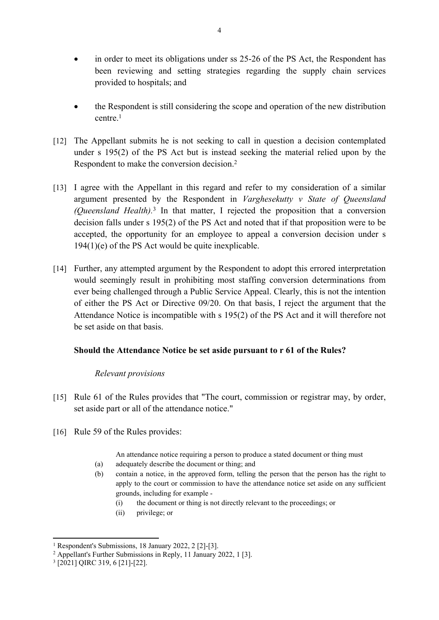- in order to meet its obligations under ss 25-26 of the PS Act, the Respondent has been reviewing and setting strategies regarding the supply chain services provided to hospitals; and
- the Respondent is still considering the scope and operation of the new distribution centre.<sup>1</sup>
- [12] The Appellant submits he is not seeking to call in question a decision contemplated under s 195(2) of the PS Act but is instead seeking the material relied upon by the Respondent to make the conversion decision.<sup>2</sup>
- [13] I agree with the Appellant in this regard and refer to my consideration of a similar argument presented by the Respondent in *Varghesekutty v State of Queensland (Queensland Health).*<sup>3</sup> In that matter, I rejected the proposition that a conversion decision falls under s 195(2) of the PS Act and noted that if that proposition were to be accepted, the opportunity for an employee to appeal a conversion decision under s 194(1)(e) of the PS Act would be quite inexplicable.
- [14] Further, any attempted argument by the Respondent to adopt this errored interpretation would seemingly result in prohibiting most staffing conversion determinations from ever being challenged through a Public Service Appeal. Clearly, this is not the intention of either the PS Act or Directive 09/20. On that basis, I reject the argument that the Attendance Notice is incompatible with s 195(2) of the PS Act and it will therefore not be set aside on that basis.

# **Should the Attendance Notice be set aside pursuant to r 61 of the Rules?**

## *Relevant provisions*

- [15] Rule 61 of the Rules provides that "The court, commission or registrar may, by order, set aside part or all of the attendance notice."
- [16] Rule 59 of the Rules provides:

An attendance notice requiring a person to produce a stated document or thing must

- (a) adequately describe the document or thing; and
- (b) contain a notice, in the approved form, telling the person that the person has the right to apply to the court or commission to have the attendance notice set aside on any sufficient grounds, including for example -
	- (i) the document or thing is not directly relevant to the proceedings; or
	- (ii) privilege; or

<sup>&</sup>lt;sup>1</sup> Respondent's Submissions, 18 January 2022, 2 [2]-[3].

<sup>2</sup> Appellant's Further Submissions in Reply, 11 January 2022, 1 [3].

<sup>3</sup> [2021] QIRC 319, 6 [21]-[22].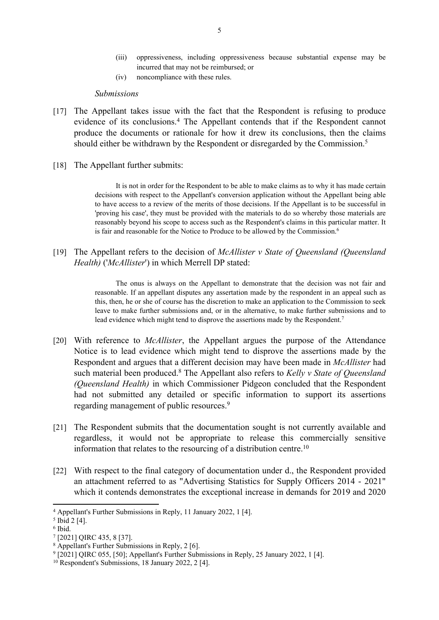- (iii) oppressiveness, including oppressiveness because substantial expense may be incurred that may not be reimbursed; or
- (iv) noncompliance with these rules.

#### *Submissions*

- [17] The Appellant takes issue with the fact that the Respondent is refusing to produce evidence of its conclusions.<sup>4</sup> The Appellant contends that if the Respondent cannot produce the documents or rationale for how it drew its conclusions, then the claims should either be withdrawn by the Respondent or disregarded by the Commission.<sup>5</sup>
- [18] The Appellant further submits:

It is not in order for the Respondent to be able to make claims as to why it has made certain decisions with respect to the Appellant's conversion application without the Appellant being able to have access to a review of the merits of those decisions. If the Appellant is to be successful in 'proving his case', they must be provided with the materials to do so whereby those materials are reasonably beyond his scope to access such as the Respondent's claims in this particular matter. It is fair and reasonable for the Notice to Produce to be allowed by the Commission.<sup>6</sup>

[19] The Appellant refers to the decision of *McAllister v State of Queensland (Queensland Health)* ('*McAllister*') in which Merrell DP stated:

> The onus is always on the Appellant to demonstrate that the decision was not fair and reasonable. If an appellant disputes any assertation made by the respondent in an appeal such as this, then, he or she of course has the discretion to make an application to the Commission to seek leave to make further submissions and, or in the alternative, to make further submissions and to lead evidence which might tend to disprove the assertions made by the Respondent.<sup>7</sup>

- [20] With reference to *McAllister*, the Appellant argues the purpose of the Attendance Notice is to lead evidence which might tend to disprove the assertions made by the Respondent and argues that a different decision may have been made in *McAllister* had such material been produced.<sup>8</sup> The Appellant also refers to *Kelly v State of Queensland (Queensland Health)* in which Commissioner Pidgeon concluded that the Respondent had not submitted any detailed or specific information to support its assertions regarding management of public resources.<sup>9</sup>
- [21] The Respondent submits that the documentation sought is not currently available and regardless, it would not be appropriate to release this commercially sensitive information that relates to the resourcing of a distribution centre.<sup>10</sup>
- [22] With respect to the final category of documentation under d., the Respondent provided an attachment referred to as "Advertising Statistics for Supply Officers 2014 - 2021" which it contends demonstrates the exceptional increase in demands for 2019 and 2020

<sup>4</sup> Appellant's Further Submissions in Reply, 11 January 2022, 1 [4].

<sup>5</sup> Ibid 2 [4].

<sup>6</sup> Ibid.

<sup>7</sup> [2021] QIRC 435, 8 [37].

<sup>8</sup> Appellant's Further Submissions in Reply, 2 [6].

<sup>9</sup> [2021] QIRC 055, [50]; Appellant's Further Submissions in Reply, 25 January 2022, 1 [4].

<sup>10</sup> Respondent's Submissions, 18 January 2022, 2 [4].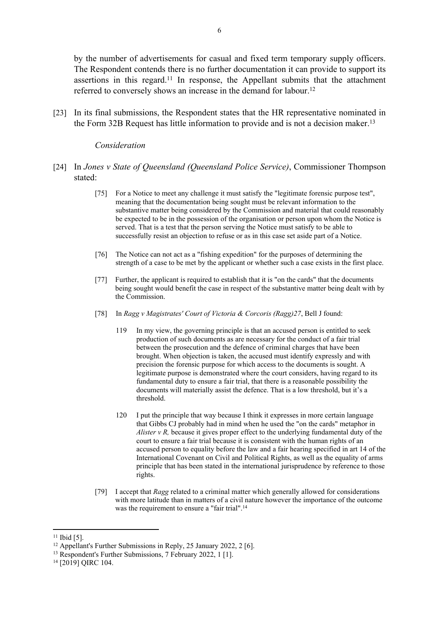by the number of advertisements for casual and fixed term temporary supply officers. The Respondent contends there is no further documentation it can provide to support its assertions in this regard.<sup>11</sup> In response, the Appellant submits that the attachment referred to conversely shows an increase in the demand for labour.<sup>12</sup>

[23] In its final submissions, the Respondent states that the HR representative nominated in the Form 32B Request has little information to provide and is not a decision maker.<sup>13</sup>

#### *Consideration*

- [24] In *Jones v State of Queensland (Queensland Police Service)*, Commissioner Thompson stated:
	- [75] For a Notice to meet any challenge it must satisfy the "legitimate forensic purpose test", meaning that the documentation being sought must be relevant information to the substantive matter being considered by the Commission and material that could reasonably be expected to be in the possession of the organisation or person upon whom the Notice is served. That is a test that the person serving the Notice must satisfy to be able to successfully resist an objection to refuse or as in this case set aside part of a Notice.
	- [76] The Notice can not act as a "fishing expedition" for the purposes of determining the strength of a case to be met by the applicant or whether such a case exists in the first place.
	- [77] Further, the applicant is required to establish that it is "on the cards" that the documents being sought would benefit the case in respect of the substantive matter being dealt with by the Commission.
	- [78] In *Ragg v Magistrates' Court of Victoria & Corcoris (Ragg)27*, Bell J found:
		- 119 In my view, the governing principle is that an accused person is entitled to seek production of such documents as are necessary for the conduct of a fair trial between the prosecution and the defence of criminal charges that have been brought. When objection is taken, the accused must identify expressly and with precision the forensic purpose for which access to the documents is sought. A legitimate purpose is demonstrated where the court considers, having regard to its fundamental duty to ensure a fair trial, that there is a reasonable possibility the documents will materially assist the defence. That is a low threshold, but it's a threshold.
		- 120 I put the principle that way because I think it expresses in more certain language that Gibbs CJ probably had in mind when he used the "on the cards" metaphor in *Alister v R,* because it gives proper effect to the underlying fundamental duty of the court to ensure a fair trial because it is consistent with the human rights of an accused person to equality before the law and a fair hearing specified in art 14 of the International Covenant on Civil and Political Rights, as well as the equality of arms principle that has been stated in the international jurisprudence by reference to those rights.
	- [79] I accept that *Ragg* related to a criminal matter which generally allowed for considerations with more latitude than in matters of a civil nature however the importance of the outcome was the requirement to ensure a "fair trial".<sup>14</sup>

<sup>11</sup> Ibid [5].

<sup>&</sup>lt;sup>12</sup> Appellant's Further Submissions in Reply, 25 January 2022, 2 [6].

<sup>&</sup>lt;sup>13</sup> Respondent's Further Submissions, 7 February 2022, 1 [1].

<sup>&</sup>lt;sup>14</sup> [2019] OIRC 104.